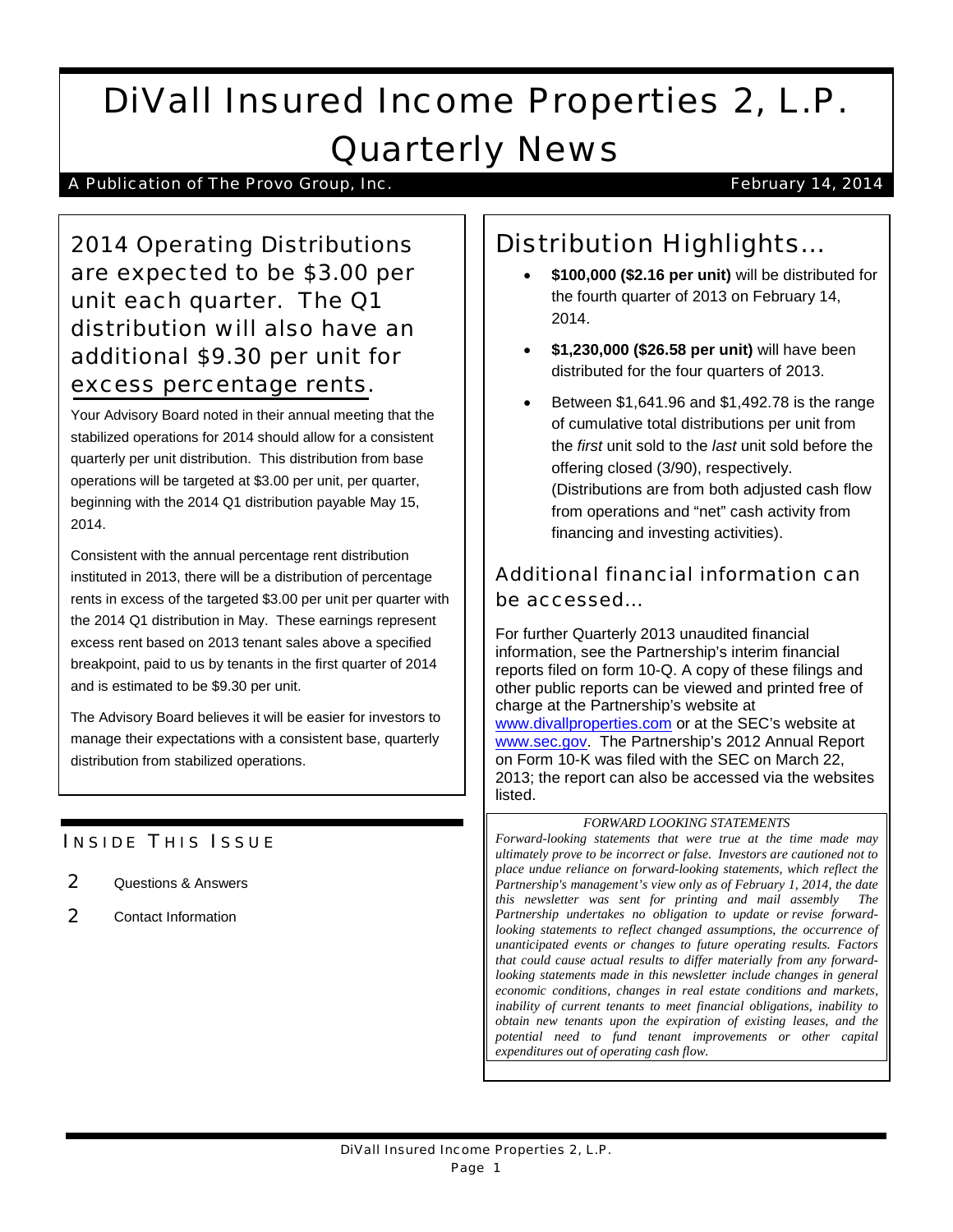# DiVall Insured Income Properties 2, L.P. Quarterly News

### A Publication of The Provo Group, Inc. **Fig. 2014 February 14, 2014**

2014 Operating Distributions are expected to be \$3.00 per unit each quarter. The Q1 distribution will also have an additional \$9.30 per unit for excess percentage rents.

Your Advisory Board noted in their annual meeting that the stabilized operations for 2014 should allow for a consistent quarterly per unit distribution. This distribution from base operations will be targeted at \$3.00 per unit, per quarter, beginning with the 2014 Q1 distribution payable May 15, 2014.

Consistent with the annual percentage rent distribution instituted in 2013, there will be a distribution of percentage rents in excess of the targeted \$3.00 per unit per quarter with the 2014 Q1 distribution in May. These earnings represent excess rent based on 2013 tenant sales above a specified breakpoint, paid to us by tenants in the first quarter of 2014 and is estimated to be \$9.30 per unit.

The Advisory Board believes it will be easier for investors to manage their expectations with a consistent base, quarterly distribution from stabilized operations.

### **INSIDE THIS ISSUE**

- 2 Questions & Answers
- 2 Contact Information

## Distribution Highlights…

- **\$100,000 (\$2.16 per unit)** will be distributed for the fourth quarter of 2013 on February 14, 2014.
- **\$1,230,000 (\$26.58 per unit)** will have been distributed for the four quarters of 2013.
- Between \$1,641.96 and \$1,492.78 is the range of cumulative total distributions per unit from the *first* unit sold to the *last* unit sold before the offering closed (3/90), respectively. (Distributions are from both adjusted cash flow from operations and "net" cash activity from financing and investing activities).

### Additional financial information can be accessed…

For further Quarterly 2013 unaudited financial information, see the Partnership's interim financial reports filed on form 10-Q. A copy of these filings and other public reports can be viewed and printed free of charge at the Partnership's website at [www.divallproperties.com](http://www.divallproperties.com/) or at the SEC's website at [www.sec.gov.](http://www.sec.gov/) The Partnership's 2012 Annual Report on Form 10-K was filed with the SEC on March 22, 2013; the report can also be accessed via the websites listed.

#### *FORWARD LOOKING STATEMENTS*

*Forward-looking statements that were true at the time made may ultimately prove to be incorrect or false. Investors are cautioned not to place undue reliance on forward-looking statements, which reflect the Partnership's management's view only as of February 1, 2014, the date this newsletter was sent for printing and mail assembly The Partnership undertakes no obligation to update or revise forwardlooking statements to reflect changed assumptions, the occurrence of unanticipated events or changes to future operating results. Factors that could cause actual results to differ materially from any forwardlooking statements made in this newsletter include changes in general economic conditions, changes in real estate conditions and markets, inability of current tenants to meet financial obligations, inability to obtain new tenants upon the expiration of existing leases, and the potential need to fund tenant improvements or other capital expenditures out of operating cash flow.*